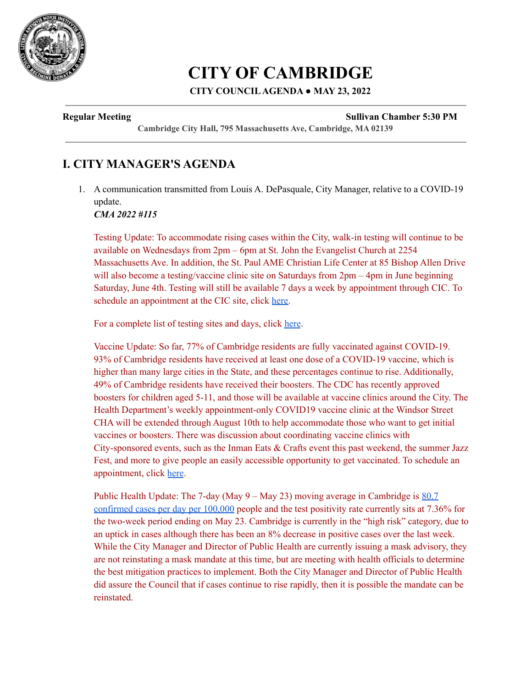

# **CITY OF CAMBRIDGE**

### **CITY COUNCILAGENDA ● MAY 23, 2022**

#### **Regular Meeting Sullivan Chamber 5:30 PM**

**Cambridge City Hall, 795 Massachusetts Ave, Cambridge, MA 02139**

# **I. CITY MANAGER'S AGENDA**

1. A communication transmitted from Louis A. DePasquale, City Manager, relative to a COVID-19 update.

*CMA 2022 #115*

Testing Update: To accommodate rising cases within the City, walk-in testing will continue to be available on Wednesdays from 2pm – 6pm at St. John the Evangelist Church at 2254 Massachusetts Ave. In addition, the St. Paul AME Christian Life Center at 85 Bishop Allen Drive will also become a testing/vaccine clinic site on Saturdays from  $2pm - 4pm$  in June beginning Saturday, June 4th. Testing will still be available 7 days a week by appointment through CIC. To schedule an appointment at the CIC site, click [here.](https://www.cic-health.com/cambridge)

For a complete list of testing sites and days, click [here](https://www.cambridgema.gov/covid19/Testing).

Vaccine Update: So far, 77% of Cambridge residents are fully vaccinated against COVID-19. 93% of Cambridge residents have received at least one dose of a COVID-19 vaccine, which is higher than many large cities in the State, and these percentages continue to rise. Additionally, 49% of Cambridge residents have received their boosters. The CDC has recently approved boosters for children aged 5-11, and those will be available at vaccine clinics around the City. The Health Department's weekly appointment-only COVID19 vaccine clinic at the Windsor Street CHA will be extended through August 10th to help accommodate those who want to get initial vaccines or boosters. There was discussion about coordinating vaccine clinics with City-sponsored events, such as the Inman Eats & Crafts event this past weekend, the summer Jazz Fest, and more to give people an easily accessible opportunity to get vaccinated. To schedule an appointment, click [here](https://home.color.com/vaccine/register/cambridge).

Public Health Update: The 7-day (May  $9 -$ May 23) moving average in Cambridge is  $80.7$ [confirmed](https://cityofcambridge.shinyapps.io/COVID19/) cases per day per 100,000 people and the test positivity rate currently sits at 7.36% for the two-week period ending on May 23. Cambridge is currently in the "high risk" category, due to an uptick in cases although there has been an 8% decrease in positive cases over the last week. While the City Manager and Director of Public Health are currently issuing a mask advisory, they are not reinstating a mask mandate at this time, but are meeting with health officials to determine the best mitigation practices to implement. Both the City Manager and Director of Public Health did assure the Council that if cases continue to rise rapidly, then it is possible the mandate can be reinstated.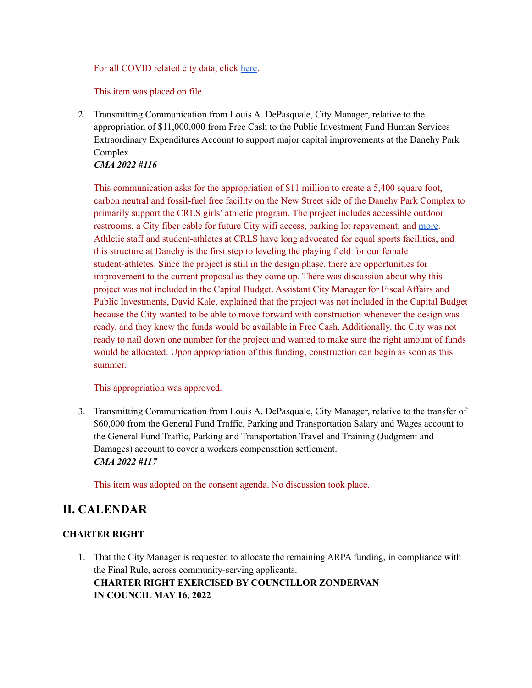For all COVID related city data, click [here](https://www.cambridgema.gov/covid19).

This item was placed on file.

2. Transmitting Communication from Louis A. DePasquale, City Manager, relative to the appropriation of \$11,000,000 from Free Cash to the Public Investment Fund Human Services Extraordinary Expenditures Account to support major capital improvements at the Danehy Park Complex.

#### *CMA 2022 #116*

This communication asks for the appropriation of \$11 million to create a 5,400 square foot, carbon neutral and fossil-fuel free facility on the New Street side of the Danehy Park Complex to primarily support the CRLS girls' athletic program. The project includes accessible outdoor restrooms, a City fiber cable for future City wifi access, parking lot repavement, and [more.](https://cambridgema.iqm2.com/Citizens/Detail_LegiFile.aspx?Frame=None&MeetingID=4030&MediaPosition=&ID=16325&CssClass=) Athletic staff and student-athletes at CRLS have long advocated for equal sports facilities, and this structure at Danehy is the first step to leveling the playing field for our female student-athletes. Since the project is still in the design phase, there are opportunities for improvement to the current proposal as they come up. There was discussion about why this project was not included in the Capital Budget. Assistant City Manager for Fiscal Affairs and Public Investments, David Kale, explained that the project was not included in the Capital Budget because the City wanted to be able to move forward with construction whenever the design was ready, and they knew the funds would be available in Free Cash. Additionally, the City was not ready to nail down one number for the project and wanted to make sure the right amount of funds would be allocated. Upon appropriation of this funding, construction can begin as soon as this summer.

#### This appropriation was approved.

3. Transmitting Communication from Louis A. DePasquale, City Manager, relative to the transfer of \$60,000 from the General Fund Traffic, Parking and Transportation Salary and Wages account to the General Fund Traffic, Parking and Transportation Travel and Training (Judgment and Damages) account to cover a workers compensation settlement. *CMA 2022 #117*

This item was adopted on the consent agenda. No discussion took place.

# **II. CALENDAR**

#### **CHARTER RIGHT**

1. That the City Manager is requested to allocate the remaining ARPA funding, in compliance with the Final Rule, across community-serving applicants. **CHARTER RIGHT EXERCISED BY COUNCILLOR ZONDERVAN IN COUNCIL MAY 16, 2022**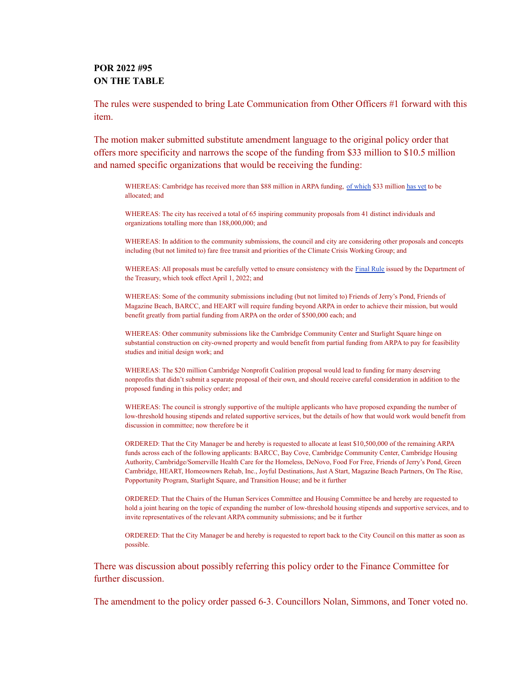#### **POR 2022 #95 ON THE TABLE**

The rules were suspended to bring Late Communication from Other Officers #1 forward with this item.

The motion maker submitted substitute amendment language to the original policy order that offers more specificity and narrows the scope of the funding from \$33 million to \$10.5 million and named specific organizations that would be receiving the funding:

WHEREAS: Cambridge has received more than \$88 million in ARPA funding, of [which](https://www.cambridgema.gov/-/media/Files/citymanagersoffice/ARPA/cityofcambridgearpaprojects3222.pdf) \$33 million [has](https://www.cambridgema.gov/Departments/mayorsoffice/News/2022/04/directcashassistanceannoucement) yet to be allocated; and

WHEREAS: The city has received a total of 65 inspiring community proposals from 41 distinct individuals and organizations totalling more than 188,000,000; and

WHEREAS: In addition to the community submissions, the council and city are considering other proposals and concepts including (but not limited to) fare free transit and priorities of the Climate Crisis Working Group; and

WHEREAS: All proposals must be carefully vetted to ensure consistency with the [Final](https://home.treasury.gov/system/files/136/SLFRF-Final-Rule.pdf) Rule issued by the Department of the Treasury, which took effect April 1, 2022; and

WHEREAS: Some of the community submissions including (but not limited to) Friends of Jerry's Pond, Friends of Magazine Beach, BARCC, and HEART will require funding beyond ARPA in order to achieve their mission, but would benefit greatly from partial funding from ARPA on the order of \$500,000 each; and

WHEREAS: Other community submissions like the Cambridge Community Center and Starlight Square hinge on substantial construction on city-owned property and would benefit from partial funding from ARPA to pay for feasibility studies and initial design work; and

WHEREAS: The \$20 million Cambridge Nonprofit Coalition proposal would lead to funding for many deserving nonprofits that didn't submit a separate proposal of their own, and should receive careful consideration in addition to the proposed funding in this policy order; and

WHEREAS: The council is strongly supportive of the multiple applicants who have proposed expanding the number of low-threshold housing stipends and related supportive services, but the details of how that would work would benefit from discussion in committee; now therefore be it

ORDERED: That the City Manager be and hereby is requested to allocate at least \$10,500,000 of the remaining ARPA funds across each of the following applicants: BARCC, Bay Cove, Cambridge Community Center, Cambridge Housing Authority, Cambridge/Somerville Health Care for the Homeless, DeNovo, Food For Free, Friends of Jerry's Pond, Green Cambridge, HEART, Homeowners Rehab, Inc., Joyful Destinations, Just A Start, Magazine Beach Partners, On The Rise, Popportunity Program, Starlight Square, and Transition House; and be it further

ORDERED: That the Chairs of the Human Services Committee and Housing Committee be and hereby are requested to hold a joint hearing on the topic of expanding the number of low-threshold housing stipends and supportive services, and to invite representatives of the relevant ARPA community submissions; and be it further

ORDERED: That the City Manager be and hereby is requested to report back to the City Council on this matter as soon as possible.

There was discussion about possibly referring this policy order to the Finance Committee for further discussion.

The amendment to the policy order passed 6-3. Councillors Nolan, Simmons, and Toner voted no.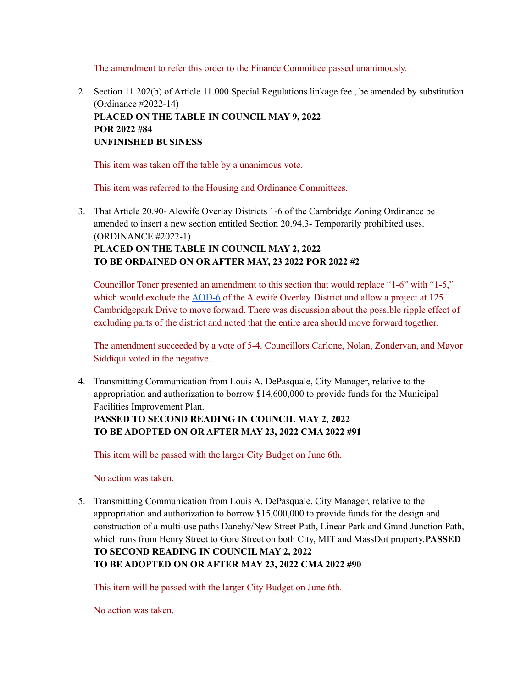The amendment to refer this order to the Finance Committee passed unanimously.

2. Section 11.202(b) of Article 11.000 Special Regulations linkage fee., be amended by substitution. (Ordinance #2022-14) **PLACED ON THE TABLE IN COUNCIL MAY 9, 2022 POR 2022 #84 UNFINISHED BUSINESS**

This item was taken off the table by a unanimous vote.

This item was referred to the Housing and Ordinance Committees.

3. That Article 20.90- Alewife Overlay Districts 1-6 of the Cambridge Zoning Ordinance be amended to insert a new section entitled Section 20.94.3- Temporarily prohibited uses. (ORDINANCE #2022-1) **PLACED ON THE TABLE IN COUNCIL MAY 2, 2022 TO BE ORDAINED ON OR AFTER MAY, 23 2022 POR 2022 #2**

Councillor Toner presented an amendment to this section that would replace "1-6" with "1-5," which would exclude the [AOD-6](https://www.cambridgema.gov/-/media/Files/CDD/Maps/Zoning/cddmap_zoning_overlay_AOD_202102.pdf) of the Alewife Overlay District and allow a project at 125 Cambridgepark Drive to move forward. There was discussion about the possible ripple effect of excluding parts of the district and noted that the entire area should move forward together.

The amendment succeeded by a vote of 5-4. Councillors Carlone, Nolan, Zondervan, and Mayor Siddiqui voted in the negative.

4. Transmitting Communication from Louis A. DePasquale, City Manager, relative to the appropriation and authorization to borrow \$14,600,000 to provide funds for the Municipal Facilities Improvement Plan.

#### **PASSED TO SECOND READING IN COUNCIL MAY 2, 2022 TO BE ADOPTED ON OR AFTER MAY 23, 2022 CMA 2022 #91**

This item will be passed with the larger City Budget on June 6th.

No action was taken.

5. Transmitting Communication from Louis A. DePasquale, City Manager, relative to the appropriation and authorization to borrow \$15,000,000 to provide funds for the design and construction of a multi-use paths Danehy/New Street Path, Linear Park and Grand Junction Path, which runs from Henry Street to Gore Street on both City, MIT and MassDot property.**PASSED TO SECOND READING IN COUNCIL MAY 2, 2022 TO BE ADOPTED ON OR AFTER MAY 23, 2022 CMA 2022 #90**

This item will be passed with the larger City Budget on June 6th.

No action was taken.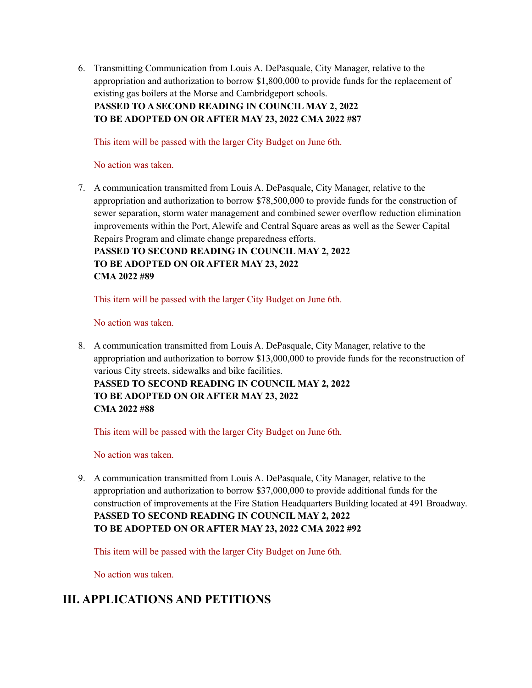6. Transmitting Communication from Louis A. DePasquale, City Manager, relative to the appropriation and authorization to borrow \$1,800,000 to provide funds for the replacement of existing gas boilers at the Morse and Cambridgeport schools. **PASSED TO A SECOND READING IN COUNCIL MAY 2, 2022**

**TO BE ADOPTED ON OR AFTER MAY 23, 2022 CMA 2022 #87**

This item will be passed with the larger City Budget on June 6th.

No action was taken.

7. A communication transmitted from Louis A. DePasquale, City Manager, relative to the appropriation and authorization to borrow \$78,500,000 to provide funds for the construction of sewer separation, storm water management and combined sewer overflow reduction elimination improvements within the Port, Alewife and Central Square areas as well as the Sewer Capital Repairs Program and climate change preparedness efforts.

**PASSED TO SECOND READING IN COUNCIL MAY 2, 2022 TO BE ADOPTED ON OR AFTER MAY 23, 2022 CMA 2022 #89**

This item will be passed with the larger City Budget on June 6th.

No action was taken.

8. A communication transmitted from Louis A. DePasquale, City Manager, relative to the appropriation and authorization to borrow \$13,000,000 to provide funds for the reconstruction of various City streets, sidewalks and bike facilities. **PASSED TO SECOND READING IN COUNCIL MAY 2, 2022 TO BE ADOPTED ON OR AFTER MAY 23, 2022 CMA 2022 #88**

This item will be passed with the larger City Budget on June 6th.

No action was taken.

9. A communication transmitted from Louis A. DePasquale, City Manager, relative to the appropriation and authorization to borrow \$37,000,000 to provide additional funds for the construction of improvements at the Fire Station Headquarters Building located at 491 Broadway. **PASSED TO SECOND READING IN COUNCIL MAY 2, 2022 TO BE ADOPTED ON OR AFTER MAY 23, 2022 CMA 2022 #92**

This item will be passed with the larger City Budget on June 6th.

No action was taken.

# **III. APPLICATIONS AND PETITIONS**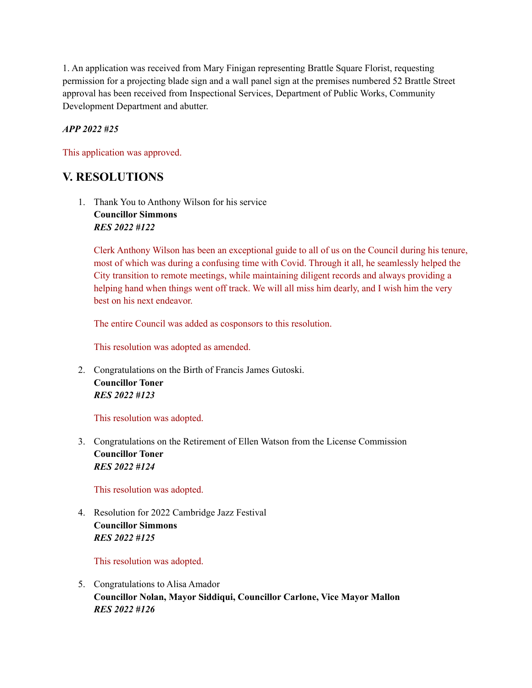1. An application was received from Mary Finigan representing Brattle Square Florist, requesting permission for a projecting blade sign and a wall panel sign at the premises numbered 52 Brattle Street approval has been received from Inspectional Services, Department of Public Works, Community Development Department and abutter.

#### *APP 2022 #25*

This application was approved.

# **V. RESOLUTIONS**

1. Thank You to Anthony Wilson for his service **Councillor Simmons** *RES 2022 #122*

Clerk Anthony Wilson has been an exceptional guide to all of us on the Council during his tenure, most of which was during a confusing time with Covid. Through it all, he seamlessly helped the City transition to remote meetings, while maintaining diligent records and always providing a helping hand when things went off track. We will all miss him dearly, and I wish him the very best on his next endeavor.

The entire Council was added as cosponsors to this resolution.

This resolution was adopted as amended.

2. Congratulations on the Birth of Francis James Gutoski. **Councillor Toner** *RES 2022 #123*

This resolution was adopted.

3. Congratulations on the Retirement of Ellen Watson from the License Commission **Councillor Toner** *RES 2022 #124*

This resolution was adopted.

4. Resolution for 2022 Cambridge Jazz Festival **Councillor Simmons** *RES 2022 #125*

This resolution was adopted.

5. Congratulations to Alisa Amador **Councillor Nolan, Mayor Siddiqui, Councillor Carlone, Vice Mayor Mallon** *RES 2022 #126*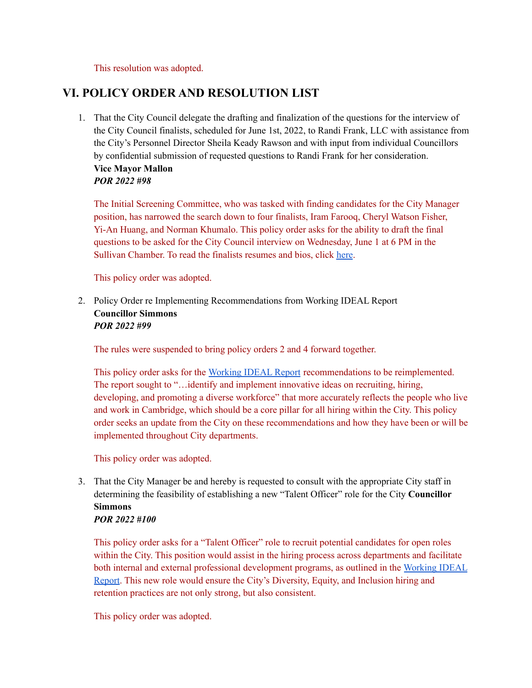This resolution was adopted.

# **VI. POLICY ORDER AND RESOLUTION LIST**

1. That the City Council delegate the drafting and finalization of the questions for the interview of the City Council finalists, scheduled for June 1st, 2022, to Randi Frank, LLC with assistance from the City's Personnel Director Sheila Keady Rawson and with input from individual Councillors by confidential submission of requested questions to Randi Frank for her consideration. **Vice Mayor Mallon** *POR 2022 #98*

The Initial Screening Committee, who was tasked with finding candidates for the City Manager position, has narrowed the search down to four finalists, Iram Farooq, Cheryl Watson Fisher, Yi-An Huang, and Norman Khumalo. This policy order asks for the ability to draft the final questions to be asked for the City Council interview on Wednesday, June 1 at 6 PM in the Sullivan Chamber. To read the finalists resumes and bios, click [here](https://cambridgema.iqm2.com/Citizens/Detail_LegiFile.aspx?Frame=None&MeetingID=4030&MediaPosition=&ID=16353&CssClass=).

This policy order was adopted.

2. Policy Order re Implementing Recommendations from Working IDEAL Report **Councillor Simmons** *POR 2022 #99*

The rules were suspended to bring policy orders 2 and 4 forward together.

This policy order asks for the [Working](https://www.workingideal.com/wp-content/uploads/2021/04/Cambridge-RHP-Report-Cover-Letter-4.26.21.pdf) IDEAL Report recommendations to be reimplemented. The report sought to "…identify and implement innovative ideas on recruiting, hiring, developing, and promoting a diverse workforce" that more accurately reflects the people who live and work in Cambridge, which should be a core pillar for all hiring within the City. This policy order seeks an update from the City on these recommendations and how they have been or will be implemented throughout City departments.

This policy order was adopted.

3. That the City Manager be and hereby is requested to consult with the appropriate City staff in determining the feasibility of establishing a new "Talent Officer" role for the City **Councillor Simmons**

#### *POR 2022 #100*

This policy order asks for a "Talent Officer" role to recruit potential candidates for open roles within the City. This position would assist in the hiring process across departments and facilitate both internal and external professional development programs, as outlined in the [Working](https://www.workingideal.com/wp-content/uploads/2021/04/Cambridge-RHP-Report-Cover-Letter-4.26.21.pdf) IDEAL [Report.](https://www.workingideal.com/wp-content/uploads/2021/04/Cambridge-RHP-Report-Cover-Letter-4.26.21.pdf) This new role would ensure the City's Diversity, Equity, and Inclusion hiring and retention practices are not only strong, but also consistent.

This policy order was adopted.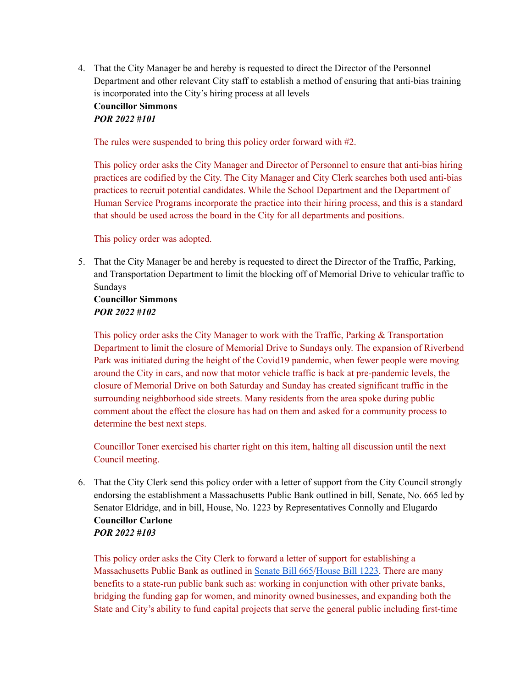4. That the City Manager be and hereby is requested to direct the Director of the Personnel Department and other relevant City staff to establish a method of ensuring that anti-bias training is incorporated into the City's hiring process at all levels

#### **Councillor Simmons** *POR 2022 #101*

The rules were suspended to bring this policy order forward with #2.

This policy order asks the City Manager and Director of Personnel to ensure that anti-bias hiring practices are codified by the City. The City Manager and City Clerk searches both used anti-bias practices to recruit potential candidates. While the School Department and the Department of Human Service Programs incorporate the practice into their hiring process, and this is a standard that should be used across the board in the City for all departments and positions.

This policy order was adopted.

5. That the City Manager be and hereby is requested to direct the Director of the Traffic, Parking, and Transportation Department to limit the blocking off of Memorial Drive to vehicular traffic to Sundays

#### **Councillor Simmons** *POR 2022 #102*

This policy order asks the City Manager to work with the Traffic, Parking & Transportation Department to limit the closure of Memorial Drive to Sundays only. The expansion of Riverbend Park was initiated during the height of the Covid19 pandemic, when fewer people were moving around the City in cars, and now that motor vehicle traffic is back at pre-pandemic levels, the closure of Memorial Drive on both Saturday and Sunday has created significant traffic in the surrounding neighborhood side streets. Many residents from the area spoke during public comment about the effect the closure has had on them and asked for a community process to determine the best next steps.

Councillor Toner exercised his charter right on this item, halting all discussion until the next Council meeting.

6. That the City Clerk send this policy order with a letter of support from the City Council strongly endorsing the establishment a Massachusetts Public Bank outlined in bill, Senate, No. 665 led by Senator Eldridge, and in bill, House, No. 1223 by Representatives Connolly and Elugardo **Councillor Carlone** *POR 2022 #103*

This policy order asks the City Clerk to forward a letter of support for establishing a Massachusetts Public Bank as outlined in [Senate](https://malegislature.gov/Bills/192/S665) Bill 665/[House](https://malegislature.gov/Bills/192/HD3247) Bill 1223. There are many benefits to a state-run public bank such as: working in conjunction with other private banks, bridging the funding gap for women, and minority owned businesses, and expanding both the State and City's ability to fund capital projects that serve the general public including first-time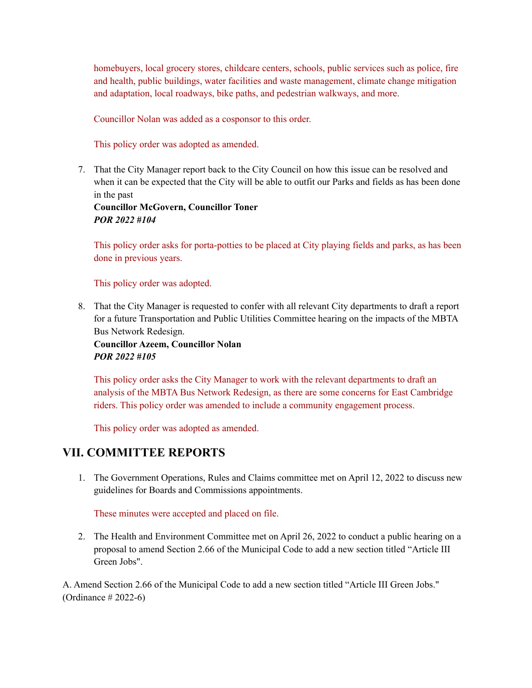homebuyers, local grocery stores, childcare centers, schools, public services such as police, fire and health, public buildings, water facilities and waste management, climate change mitigation and adaptation, local roadways, bike paths, and pedestrian walkways, and more.

Councillor Nolan was added as a cosponsor to this order.

This policy order was adopted as amended.

7. That the City Manager report back to the City Council on how this issue can be resolved and when it can be expected that the City will be able to outfit our Parks and fields as has been done in the past

**Councillor McGovern, Councillor Toner** *POR 2022 #104*

This policy order asks for porta-potties to be placed at City playing fields and parks, as has been done in previous years.

This policy order was adopted.

8. That the City Manager is requested to confer with all relevant City departments to draft a report for a future Transportation and Public Utilities Committee hearing on the impacts of the MBTA Bus Network Redesign.

**Councillor Azeem, Councillor Nolan** *POR 2022 #105*

This policy order asks the City Manager to work with the relevant departments to draft an analysis of the MBTA Bus Network Redesign, as there are some concerns for East Cambridge riders. This policy order was amended to include a community engagement process.

This policy order was adopted as amended.

## **VII. COMMITTEE REPORTS**

1. The Government Operations, Rules and Claims committee met on April 12, 2022 to discuss new guidelines for Boards and Commissions appointments.

These minutes were accepted and placed on file.

2. The Health and Environment Committee met on April 26, 2022 to conduct a public hearing on a proposal to amend Section 2.66 of the Municipal Code to add a new section titled "Article III Green Jobs".

A. Amend Section 2.66 of the Municipal Code to add a new section titled "Article III Green Jobs." (Ordinance # 2022-6)